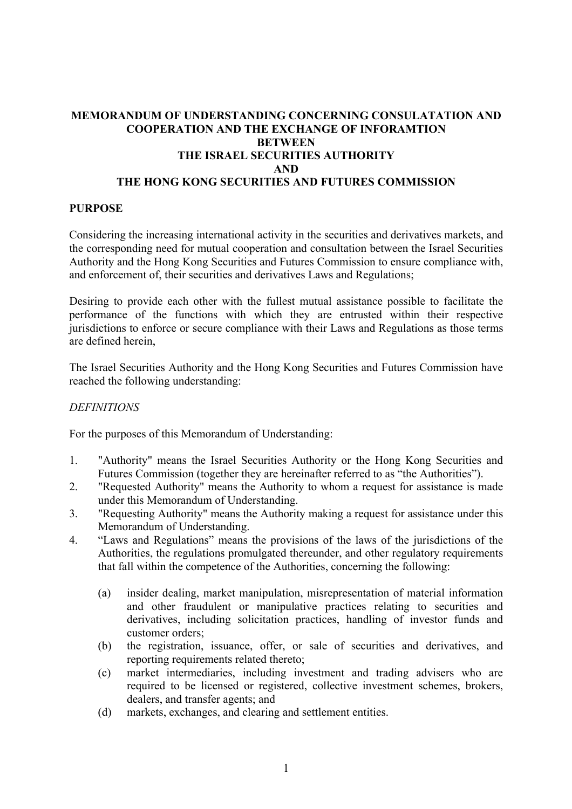## **MEMORANDUM OF UNDERSTANDING CONCERNING CONSULATATION AND COOPERATION AND THE EXCHANGE OF INFORAMTION BETWEEN THE ISRAEL SECURITIES AUTHORITY AND THE HONG KONG SECURITIES AND FUTURES COMMISSION**

### **PURPOSE**

Considering the increasing international activity in the securities and derivatives markets, and the corresponding need for mutual cooperation and consultation between the Israel Securities Authority and the Hong Kong Securities and Futures Commission to ensure compliance with, and enforcement of, their securities and derivatives Laws and Regulations;

Desiring to provide each other with the fullest mutual assistance possible to facilitate the performance of the functions with which they are entrusted within their respective jurisdictions to enforce or secure compliance with their Laws and Regulations as those terms are defined herein,

The Israel Securities Authority and the Hong Kong Securities and Futures Commission have reached the following understanding:

### *DEFINITIONS*

For the purposes of this Memorandum of Understanding:

- 1. "Authority" means the Israel Securities Authority or the Hong Kong Securities and Futures Commission (together they are hereinafter referred to as "the Authorities").
- 2. "Requested Authority" means the Authority to whom a request for assistance is made under this Memorandum of Understanding.
- 3. "Requesting Authority" means the Authority making a request for assistance under this Memorandum of Understanding.
- 4. "Laws and Regulations" means the provisions of the laws of the jurisdictions of the Authorities, the regulations promulgated thereunder, and other regulatory requirements that fall within the competence of the Authorities, concerning the following:
	- (a) insider dealing, market manipulation, misrepresentation of material information and other fraudulent or manipulative practices relating to securities and derivatives, including solicitation practices, handling of investor funds and customer orders;
	- (b) the registration, issuance, offer, or sale of securities and derivatives, and reporting requirements related thereto;
	- (c) market intermediaries, including investment and trading advisers who are required to be licensed or registered, collective investment schemes, brokers, dealers, and transfer agents; and
	- (d) markets, exchanges, and clearing and settlement entities.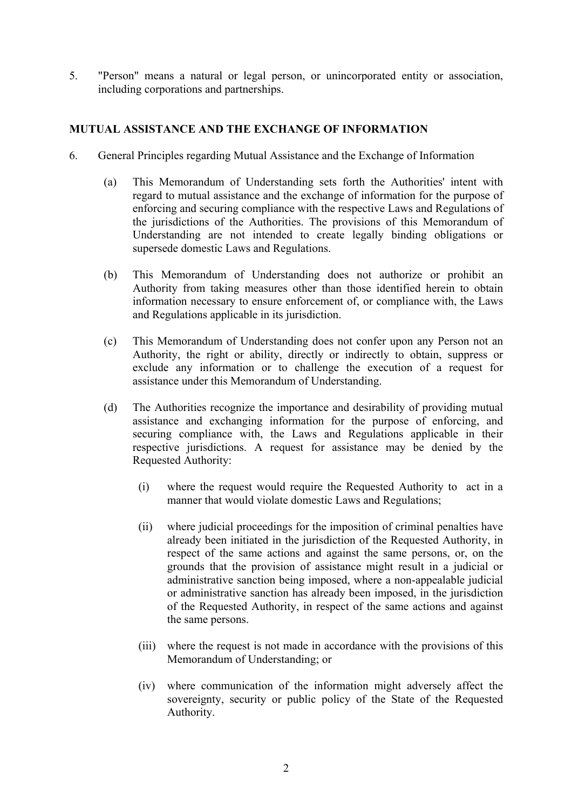5. "Person" means a natural or legal person, or unincorporated entity or association, including corporations and partnerships.

# **MUTUAL ASSISTANCE AND THE EXCHANGE OF INFORMATION**

- 6. General Principles regarding Mutual Assistance and the Exchange of Information
	- (a) This Memorandum of Understanding sets forth the Authorities' intent with regard to mutual assistance and the exchange of information for the purpose of enforcing and securing compliance with the respective Laws and Regulations of the jurisdictions of the Authorities. The provisions of this Memorandum of Understanding are not intended to create legally binding obligations or supersede domestic Laws and Regulations.
	- (b) This Memorandum of Understanding does not authorize or prohibit an Authority from taking measures other than those identified herein to obtain information necessary to ensure enforcement of, or compliance with, the Laws and Regulations applicable in its jurisdiction.
	- (c) This Memorandum of Understanding does not confer upon any Person not an Authority, the right or ability, directly or indirectly to obtain, suppress or exclude any information or to challenge the execution of a request for assistance under this Memorandum of Understanding.
	- (d) The Authorities recognize the importance and desirability of providing mutual assistance and exchanging information for the purpose of enforcing, and securing compliance with, the Laws and Regulations applicable in their respective jurisdictions. A request for assistance may be denied by the Requested Authority:
		- (i) where the request would require the Requested Authority to act in a manner that would violate domestic Laws and Regulations;
		- (ii) where judicial proceedings for the imposition of criminal penalties have already been initiated in the jurisdiction of the Requested Authority, in respect of the same actions and against the same persons, or, on the grounds that the provision of assistance might result in a judicial or administrative sanction being imposed, where a non-appealable judicial or administrative sanction has already been imposed, in the jurisdiction of the Requested Authority, in respect of the same actions and against the same persons.
		- (iii) where the request is not made in accordance with the provisions of this Memorandum of Understanding; or
		- (iv) where communication of the information might adversely affect the sovereignty, security or public policy of the State of the Requested Authority.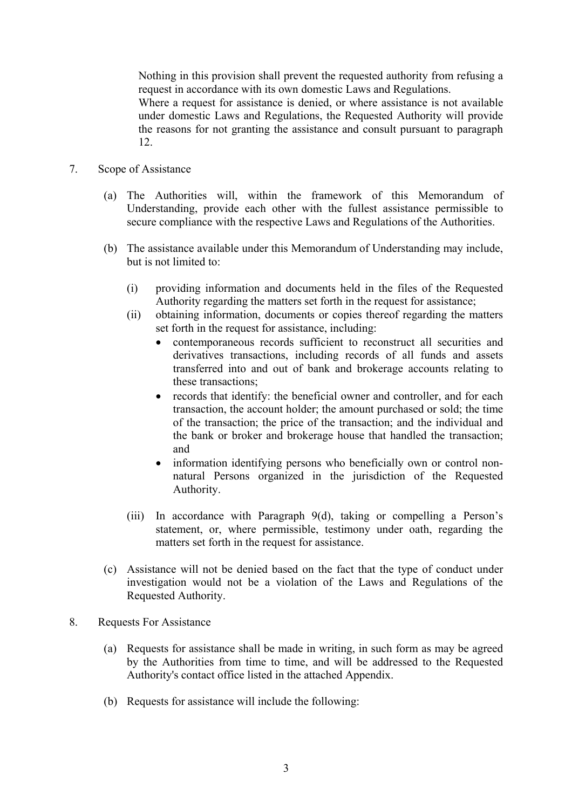Nothing in this provision shall prevent the requested authority from refusing a request in accordance with its own domestic Laws and Regulations.

Where a request for assistance is denied, or where assistance is not available under domestic Laws and Regulations, the Requested Authority will provide the reasons for not granting the assistance and consult pursuant to paragraph 12.

- 7. Scope of Assistance
	- (a) The Authorities will, within the framework of this Memorandum of Understanding, provide each other with the fullest assistance permissible to secure compliance with the respective Laws and Regulations of the Authorities.
	- (b) The assistance available under this Memorandum of Understanding may include, but is not limited to:
		- (i) providing information and documents held in the files of the Requested Authority regarding the matters set forth in the request for assistance;
		- (ii) obtaining information, documents or copies thereof regarding the matters set forth in the request for assistance, including:
			- contemporaneous records sufficient to reconstruct all securities and derivatives transactions, including records of all funds and assets transferred into and out of bank and brokerage accounts relating to these transactions;
			- records that identify: the beneficial owner and controller, and for each transaction, the account holder; the amount purchased or sold; the time of the transaction; the price of the transaction; and the individual and the bank or broker and brokerage house that handled the transaction; and
			- information identifying persons who beneficially own or control nonnatural Persons organized in the jurisdiction of the Requested Authority.
		- (iii) In accordance with Paragraph 9(d), taking or compelling a Person's statement, or, where permissible, testimony under oath, regarding the matters set forth in the request for assistance.
	- (c) Assistance will not be denied based on the fact that the type of conduct under investigation would not be a violation of the Laws and Regulations of the Requested Authority.
- 8. Requests For Assistance
	- (a) Requests for assistance shall be made in writing, in such form as may be agreed by the Authorities from time to time, and will be addressed to the Requested Authority's contact office listed in the attached Appendix.
	- (b) Requests for assistance will include the following: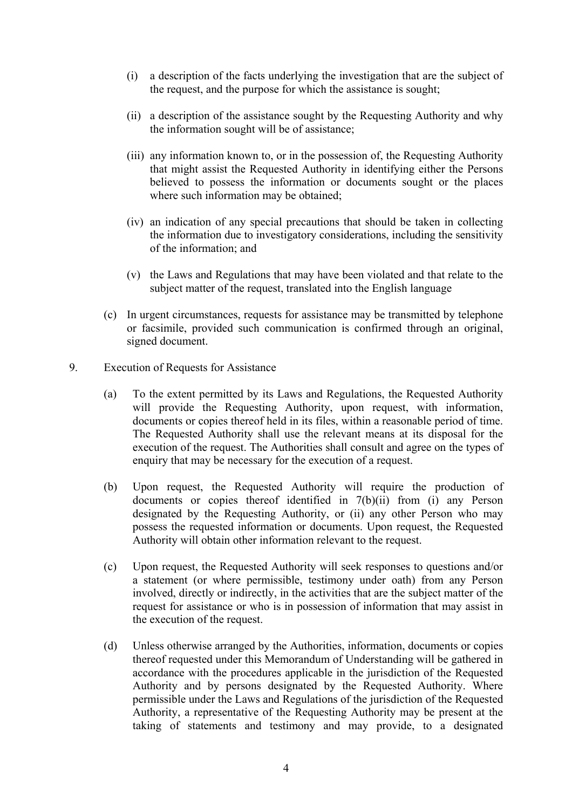- (i) a description of the facts underlying the investigation that are the subject of the request, and the purpose for which the assistance is sought;
- (ii) a description of the assistance sought by the Requesting Authority and why the information sought will be of assistance;
- (iii) any information known to, or in the possession of, the Requesting Authority that might assist the Requested Authority in identifying either the Persons believed to possess the information or documents sought or the places where such information may be obtained;
- (iv) an indication of any special precautions that should be taken in collecting the information due to investigatory considerations, including the sensitivity of the information; and
- (v) the Laws and Regulations that may have been violated and that relate to the subject matter of the request, translated into the English language
- (c) In urgent circumstances, requests for assistance may be transmitted by telephone or facsimile, provided such communication is confirmed through an original, signed document.
- 9. Execution of Requests for Assistance
	- (a) To the extent permitted by its Laws and Regulations, the Requested Authority will provide the Requesting Authority, upon request, with information, documents or copies thereof held in its files, within a reasonable period of time. The Requested Authority shall use the relevant means at its disposal for the execution of the request. The Authorities shall consult and agree on the types of enquiry that may be necessary for the execution of a request.
	- (b) Upon request, the Requested Authority will require the production of documents or copies thereof identified in 7(b)(ii) from (i) any Person designated by the Requesting Authority, or (ii) any other Person who may possess the requested information or documents. Upon request, the Requested Authority will obtain other information relevant to the request.
	- (c) Upon request, the Requested Authority will seek responses to questions and/or a statement (or where permissible, testimony under oath) from any Person involved, directly or indirectly, in the activities that are the subject matter of the request for assistance or who is in possession of information that may assist in the execution of the request.
	- (d) Unless otherwise arranged by the Authorities, information, documents or copies thereof requested under this Memorandum of Understanding will be gathered in accordance with the procedures applicable in the jurisdiction of the Requested Authority and by persons designated by the Requested Authority. Where permissible under the Laws and Regulations of the jurisdiction of the Requested Authority, a representative of the Requesting Authority may be present at the taking of statements and testimony and may provide, to a designated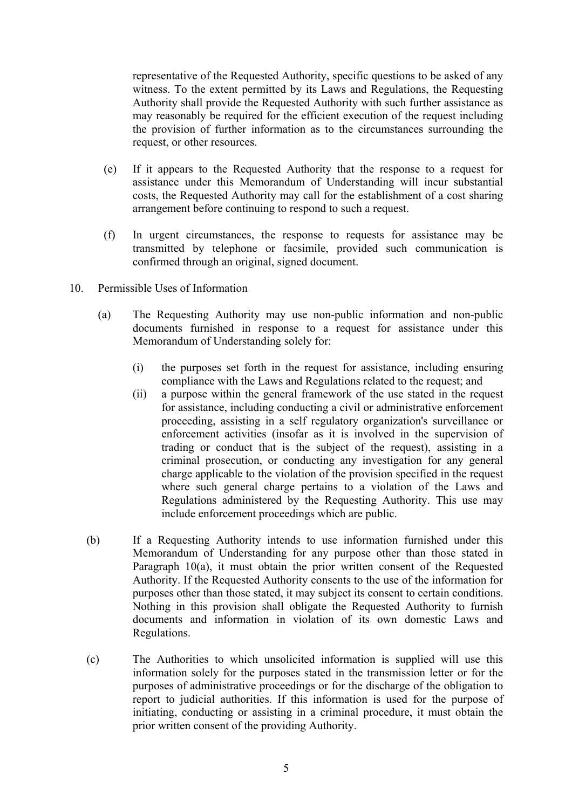representative of the Requested Authority, specific questions to be asked of any witness. To the extent permitted by its Laws and Regulations, the Requesting Authority shall provide the Requested Authority with such further assistance as may reasonably be required for the efficient execution of the request including the provision of further information as to the circumstances surrounding the request, or other resources.

- (e) If it appears to the Requested Authority that the response to a request for assistance under this Memorandum of Understanding will incur substantial costs, the Requested Authority may call for the establishment of a cost sharing arrangement before continuing to respond to such a request.
- (f) In urgent circumstances, the response to requests for assistance may be transmitted by telephone or facsimile, provided such communication is confirmed through an original, signed document.
- 10. Permissible Uses of Information
	- (a) The Requesting Authority may use non-public information and non-public documents furnished in response to a request for assistance under this Memorandum of Understanding solely for:
		- (i) the purposes set forth in the request for assistance, including ensuring compliance with the Laws and Regulations related to the request; and
		- (ii) a purpose within the general framework of the use stated in the request for assistance, including conducting a civil or administrative enforcement proceeding, assisting in a self regulatory organization's surveillance or enforcement activities (insofar as it is involved in the supervision of trading or conduct that is the subject of the request), assisting in a criminal prosecution, or conducting any investigation for any general charge applicable to the violation of the provision specified in the request where such general charge pertains to a violation of the Laws and Regulations administered by the Requesting Authority. This use may include enforcement proceedings which are public.
	- (b) If a Requesting Authority intends to use information furnished under this Memorandum of Understanding for any purpose other than those stated in Paragraph 10(a), it must obtain the prior written consent of the Requested Authority. If the Requested Authority consents to the use of the information for purposes other than those stated, it may subject its consent to certain conditions. Nothing in this provision shall obligate the Requested Authority to furnish documents and information in violation of its own domestic Laws and Regulations.
	- (c) The Authorities to which unsolicited information is supplied will use this information solely for the purposes stated in the transmission letter or for the purposes of administrative proceedings or for the discharge of the obligation to report to judicial authorities. If this information is used for the purpose of initiating, conducting or assisting in a criminal procedure, it must obtain the prior written consent of the providing Authority.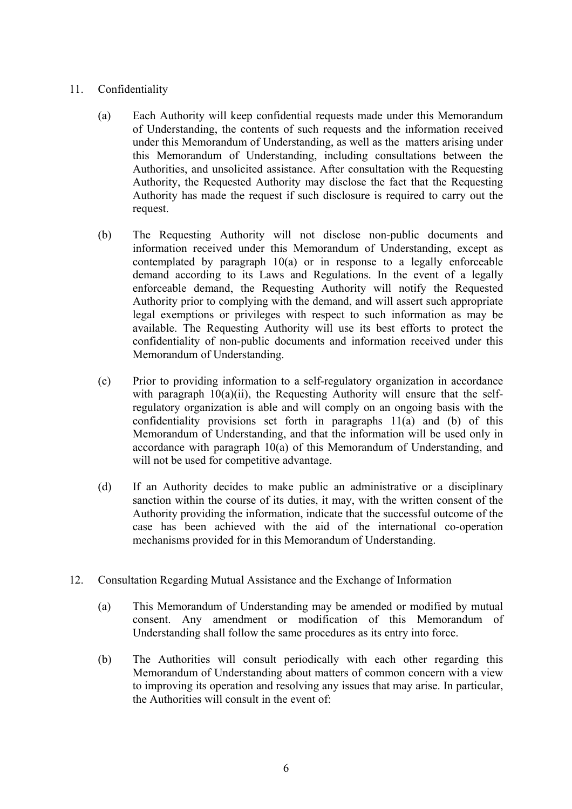## 11. Confidentiality

- (a) Each Authority will keep confidential requests made under this Memorandum of Understanding, the contents of such requests and the information received under this Memorandum of Understanding, as well as the matters arising under this Memorandum of Understanding, including consultations between the Authorities, and unsolicited assistance. After consultation with the Requesting Authority, the Requested Authority may disclose the fact that the Requesting Authority has made the request if such disclosure is required to carry out the request.
- (b) The Requesting Authority will not disclose non-public documents and information received under this Memorandum of Understanding, except as contemplated by paragraph 10(a) or in response to a legally enforceable demand according to its Laws and Regulations. In the event of a legally enforceable demand, the Requesting Authority will notify the Requested Authority prior to complying with the demand, and will assert such appropriate legal exemptions or privileges with respect to such information as may be available. The Requesting Authority will use its best efforts to protect the confidentiality of non-public documents and information received under this Memorandum of Understanding.
- (c) Prior to providing information to a self-regulatory organization in accordance with paragraph  $10(a)(ii)$ , the Requesting Authority will ensure that the selfregulatory organization is able and will comply on an ongoing basis with the confidentiality provisions set forth in paragraphs 11(a) and (b) of this Memorandum of Understanding, and that the information will be used only in accordance with paragraph 10(a) of this Memorandum of Understanding, and will not be used for competitive advantage.
- (d) If an Authority decides to make public an administrative or a disciplinary sanction within the course of its duties, it may, with the written consent of the Authority providing the information, indicate that the successful outcome of the case has been achieved with the aid of the international co-operation mechanisms provided for in this Memorandum of Understanding.
- 12. Consultation Regarding Mutual Assistance and the Exchange of Information
	- (a) This Memorandum of Understanding may be amended or modified by mutual consent. Any amendment or modification of this Memorandum of Understanding shall follow the same procedures as its entry into force.
	- (b) The Authorities will consult periodically with each other regarding this Memorandum of Understanding about matters of common concern with a view to improving its operation and resolving any issues that may arise. In particular, the Authorities will consult in the event of: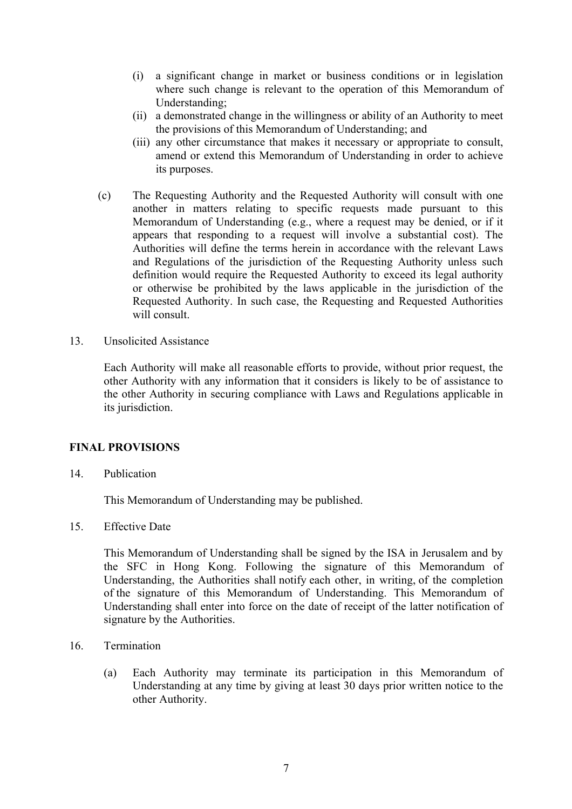- (i) a significant change in market or business conditions or in legislation where such change is relevant to the operation of this Memorandum of Understanding;
- (ii) a demonstrated change in the willingness or ability of an Authority to meet the provisions of this Memorandum of Understanding; and
- (iii) any other circumstance that makes it necessary or appropriate to consult, amend or extend this Memorandum of Understanding in order to achieve its purposes.
- (c) The Requesting Authority and the Requested Authority will consult with one another in matters relating to specific requests made pursuant to this Memorandum of Understanding (e.g., where a request may be denied, or if it appears that responding to a request will involve a substantial cost). The Authorities will define the terms herein in accordance with the relevant Laws and Regulations of the jurisdiction of the Requesting Authority unless such definition would require the Requested Authority to exceed its legal authority or otherwise be prohibited by the laws applicable in the jurisdiction of the Requested Authority. In such case, the Requesting and Requested Authorities will consult.
- 13. Unsolicited Assistance

Each Authority will make all reasonable efforts to provide, without prior request, the other Authority with any information that it considers is likely to be of assistance to the other Authority in securing compliance with Laws and Regulations applicable in its jurisdiction.

### **FINAL PROVISIONS**

14. Publication

This Memorandum of Understanding may be published.

15. Effective Date

 This Memorandum of Understanding shall be signed by the ISA in Jerusalem and by the SFC in Hong Kong. Following the signature of this Memorandum of Understanding, the Authorities shall notify each other, in writing, of the completion of the signature of this Memorandum of Understanding. This Memorandum of Understanding shall enter into force on the date of receipt of the latter notification of signature by the Authorities.

- 16. Termination
	- (a) Each Authority may terminate its participation in this Memorandum of Understanding at any time by giving at least 30 days prior written notice to the other Authority.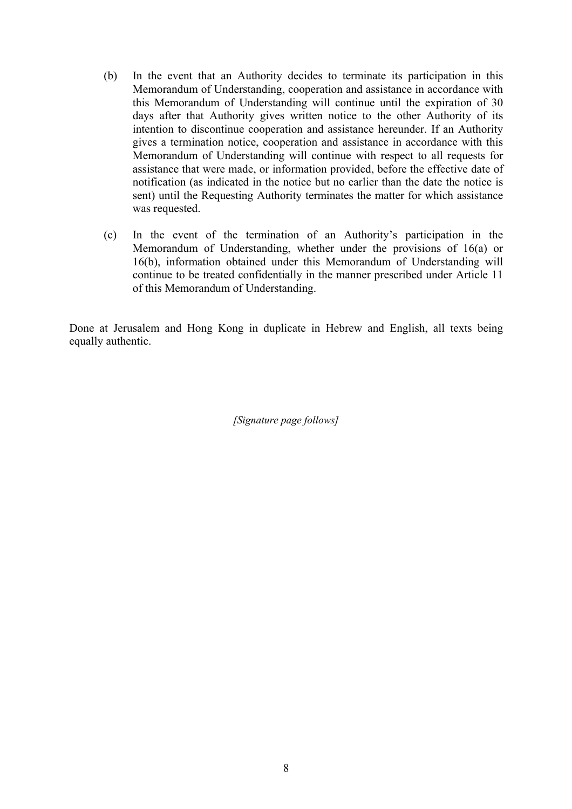- (b) In the event that an Authority decides to terminate its participation in this Memorandum of Understanding, cooperation and assistance in accordance with this Memorandum of Understanding will continue until the expiration of 30 days after that Authority gives written notice to the other Authority of its intention to discontinue cooperation and assistance hereunder. If an Authority gives a termination notice, cooperation and assistance in accordance with this Memorandum of Understanding will continue with respect to all requests for assistance that were made, or information provided, before the effective date of notification (as indicated in the notice but no earlier than the date the notice is sent) until the Requesting Authority terminates the matter for which assistance was requested.
- (c) In the event of the termination of an Authority's participation in the Memorandum of Understanding, whether under the provisions of 16(a) or 16(b), information obtained under this Memorandum of Understanding will continue to be treated confidentially in the manner prescribed under Article 11 of this Memorandum of Understanding.

Done at Jerusalem and Hong Kong in duplicate in Hebrew and English, all texts being equally authentic.

*[Signature page follows]*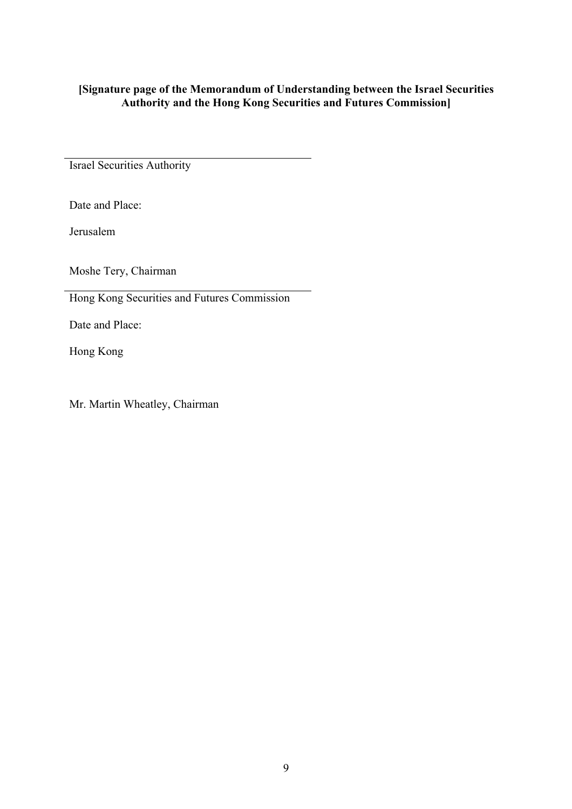# **[Signature page of the Memorandum of Understanding between the Israel Securities Authority and the Hong Kong Securities and Futures Commission]**

Israel Securities Authority

Date and Place:

Jerusalem

Moshe Tery, Chairman

Hong Kong Securities and Futures Commission

Date and Place:

Hong Kong

Mr. Martin Wheatley, Chairman